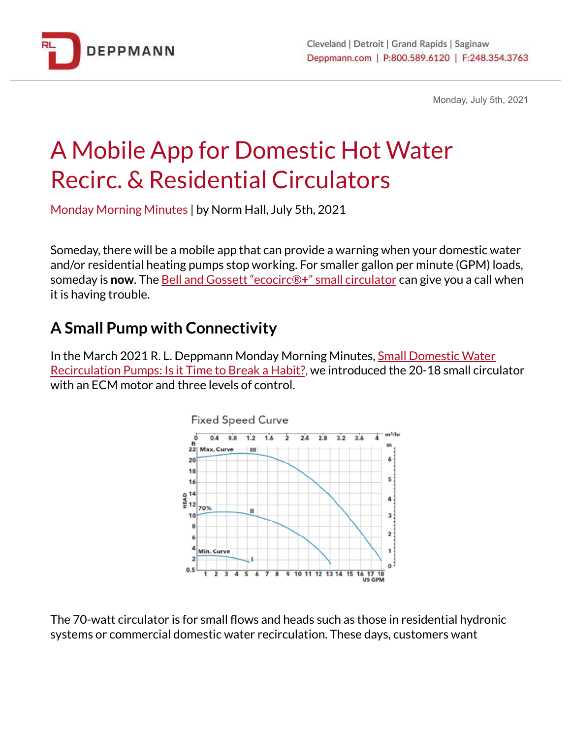

Monday, July 5th, 2021

## A Mobile App for Domestic Hot Water Recirc. & Residential Circulators

Monday Morning Minutes | by Norm Hall, July 5th, 2021

Someday, there will be a mobile app that can provide a warning when your domestic water and/or residential heating pumps stop working. For smaller gallon per minute (GPM) loads, someday is **now**. The Bell and Gossett ["ecocirc®](https://bit.ly/2OYvj1X)**+**" small circulator can give you a call when it is having trouble.

## **A Small Pump with Connectivity**

In the March 2021 R. L. Deppmann Monday Morning Minutes, Small [Domestic](https://bit.ly/35ZzkaY) Water [Recirculation](https://bit.ly/35ZzkaY) Pumps: Is it Time to Break a Habit?, we introduced the 20-18 small circulator with an ECM motor and three levels of control.



The 70-watt circulator is for small flows and heads such as those in residential hydronic systems or commercial domestic water recirculation. These days, customers want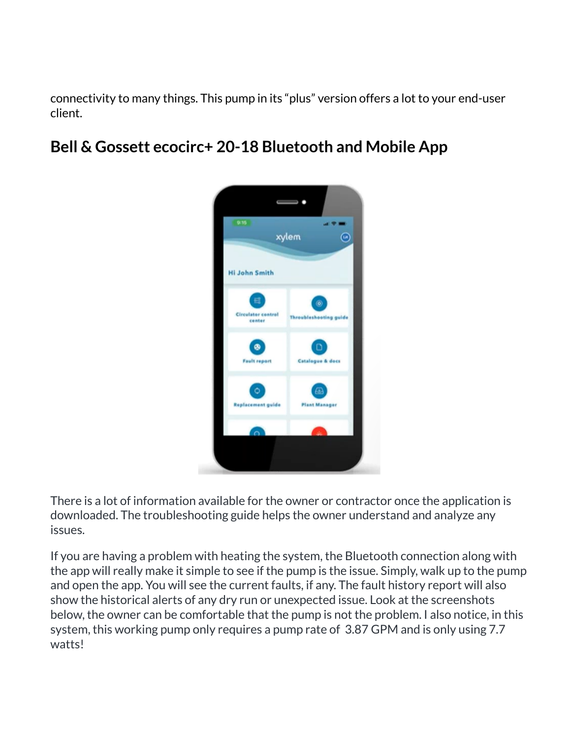connectivity to many things. This pump in its "plus" version offers a lot to your end-user client.

## **Bell & Gossett ecocirc+ 20-18 Bluetooth and Mobile App**



There is a lot of information available for the owner or contractor once the application is downloaded. The troubleshooting guide helps the owner understand and analyze any issues.

If you are having a problem with heating the system, the Bluetooth connection along with the app will really make it simple to see if the pump is the issue. Simply, walk up to the pump and open the app. You will see the current faults, if any. The fault history report will also show the historical alerts of any dry run or unexpected issue. Look at the screenshots below, the owner can be comfortable that the pump is not the problem. I also notice, in this system, this working pump only requires a pump rate of 3.87 GPM and is only using 7.7 watts!